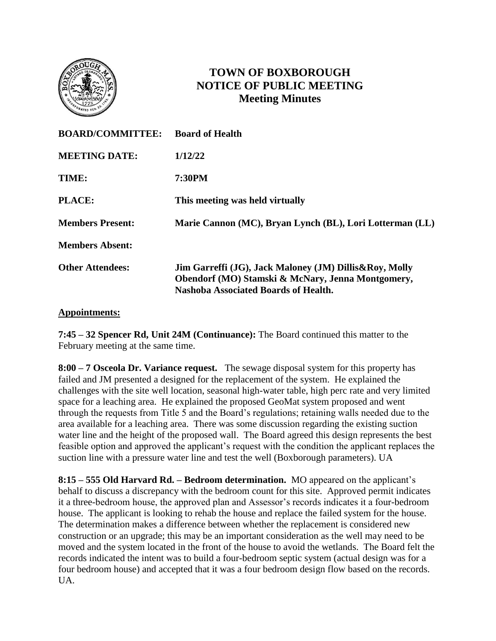

# **TOWN OF BOXBOROUGH NOTICE OF PUBLIC MEETING Meeting Minutes**

| <b>BOARD/COMMITTEE:</b> | <b>Board of Health</b>                                                                                                                              |
|-------------------------|-----------------------------------------------------------------------------------------------------------------------------------------------------|
| <b>MEETING DATE:</b>    | 1/12/22                                                                                                                                             |
| TIME:                   | <b>7:30PM</b>                                                                                                                                       |
| PLACE:                  | This meeting was held virtually                                                                                                                     |
| <b>Members Present:</b> | Marie Cannon (MC), Bryan Lynch (BL), Lori Lotterman (LL)                                                                                            |
| <b>Members Absent:</b>  |                                                                                                                                                     |
| <b>Other Attendees:</b> | Jim Garreffi (JG), Jack Maloney (JM) Dillis&Roy, Molly<br>Obendorf (MO) Stamski & McNary, Jenna Montgomery,<br>Nashoba Associated Boards of Health. |

### **Appointments:**

**7:45 – 32 Spencer Rd, Unit 24M (Continuance):** The Board continued this matter to the February meeting at the same time.

**8:00 – 7 Osceola Dr. Variance request.** The sewage disposal system for this property has failed and JM presented a designed for the replacement of the system. He explained the challenges with the site well location, seasonal high-water table, high perc rate and very limited space for a leaching area. He explained the proposed GeoMat system proposed and went through the requests from Title 5 and the Board's regulations; retaining walls needed due to the area available for a leaching area. There was some discussion regarding the existing suction water line and the height of the proposed wall. The Board agreed this design represents the best feasible option and approved the applicant's request with the condition the applicant replaces the suction line with a pressure water line and test the well (Boxborough parameters). UA

**8:15 – 555 Old Harvard Rd. – Bedroom determination.** MO appeared on the applicant's behalf to discuss a discrepancy with the bedroom count for this site. Approved permit indicates it a three-bedroom house, the approved plan and Assessor's records indicates it a four-bedroom house. The applicant is looking to rehab the house and replace the failed system for the house. The determination makes a difference between whether the replacement is considered new construction or an upgrade; this may be an important consideration as the well may need to be moved and the system located in the front of the house to avoid the wetlands. The Board felt the records indicated the intent was to build a four-bedroom septic system (actual design was for a four bedroom house) and accepted that it was a four bedroom design flow based on the records. UA.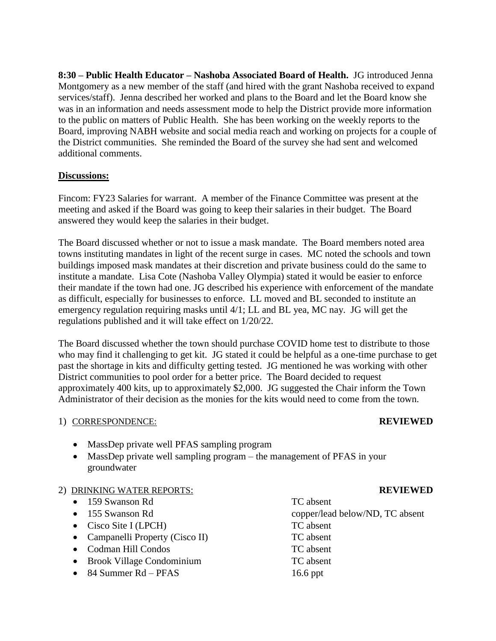**8:30 – Public Health Educator – Nashoba Associated Board of Health.** JG introduced Jenna Montgomery as a new member of the staff (and hired with the grant Nashoba received to expand services/staff). Jenna described her worked and plans to the Board and let the Board know she was in an information and needs assessment mode to help the District provide more information to the public on matters of Public Health. She has been working on the weekly reports to the Board, improving NABH website and social media reach and working on projects for a couple of the District communities. She reminded the Board of the survey she had sent and welcomed additional comments.

# **Discussions:**

Fincom: FY23 Salaries for warrant. A member of the Finance Committee was present at the meeting and asked if the Board was going to keep their salaries in their budget. The Board answered they would keep the salaries in their budget.

The Board discussed whether or not to issue a mask mandate. The Board members noted area towns instituting mandates in light of the recent surge in cases. MC noted the schools and town buildings imposed mask mandates at their discretion and private business could do the same to institute a mandate. Lisa Cote (Nashoba Valley Olympia) stated it would be easier to enforce their mandate if the town had one. JG described his experience with enforcement of the mandate as difficult, especially for businesses to enforce. LL moved and BL seconded to institute an emergency regulation requiring masks until 4/1; LL and BL yea, MC nay. JG will get the regulations published and it will take effect on 1/20/22.

The Board discussed whether the town should purchase COVID home test to distribute to those who may find it challenging to get kit. JG stated it could be helpful as a one-time purchase to get past the shortage in kits and difficulty getting tested. JG mentioned he was working with other District communities to pool order for a better price. The Board decided to request approximately 400 kits, up to approximately \$2,000. JG suggested the Chair inform the Town Administrator of their decision as the monies for the kits would need to come from the town.

### 1) CORRESPONDENCE: **REVIEWED**

- MassDep private well PFAS sampling program
- MassDep private well sampling program the management of PFAS in your groundwater

# 2) DRINKING WATER REPORTS: **REVIEWED**

- 159 Swanson Rd TC absent
- 
- Cisco Site I (LPCH) TC absent
- Campanelli Property (Cisco II) TC absent
- Codman Hill Condos TC absent
- Brook Village Condominium TC absent
- 84 Summer Rd PFAS 16.6 ppt

• 155 Swanson Rd copper/lead below/ND, TC absent